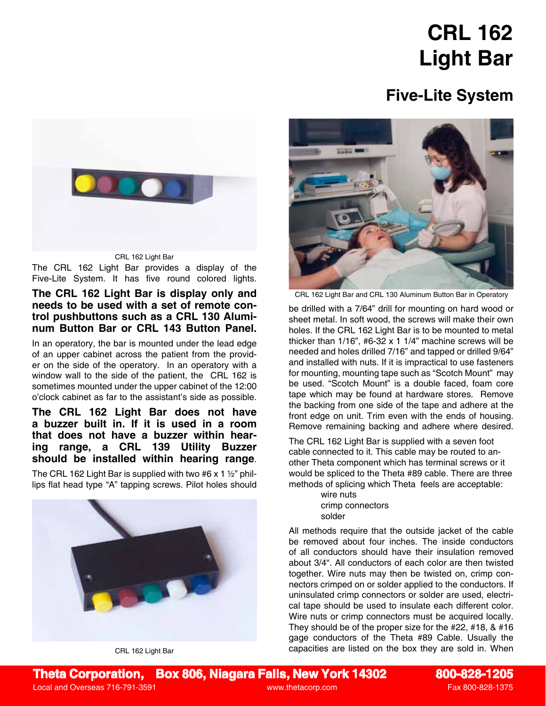# **CRL 162 Light Bar**

## **Five-Lite System**



The CRL 162 Light Bar provides a display of the Five-Lite System. It has five round colored lights.

### **The CRL 162 Light Bar is display only and needs to be used with a set of remote control pushbuttons such as a CRL 130 Aluminum Button Bar or CRL 143 Button Panel.**

In an operatory, the bar is mounted under the lead edge of an upper cabinet across the patient from the provider on the side of the operatory. In an operatory with a window wall to the side of the patient, the CRL 162 is sometimes mounted under the upper cabinet of the 12:00 o'clock cabinet as far to the assistant's side as possible.

#### **The CRL 162 Light Bar does not have a buzzer built in. If it is used in a room that does not have a buzzer within hearing range, a CRL 139 Utility Buzzer should be installed within hearing range**.

The CRL 162 Light Bar is supplied with two #6 x 1  $\frac{1}{2}$ " phillips flat head type "A" tapping screws. Pilot holes should



CRL 162 Light Bar



CRL 162 Light Bar and CRL 130 Aluminum Button Bar in Operatory

be drilled with a 7/64" drill for mounting on hard wood or sheet metal. In soft wood, the screws will make their own holes. If the CRL 162 Light Bar is to be mounted to metal thicker than 1/16", #6-32 x 1 1/4" machine screws will be needed and holes drilled 7/16" and tapped or drilled 9/64" and installed with nuts. If it is impractical to use fasteners for mounting, mounting tape such as "Scotch Mount" may be used. "Scotch Mount" is a double faced, foam core tape which may be found at hardware stores. Remove the backing from one side of the tape and adhere at the front edge on unit. Trim even with the ends of housing. Remove remaining backing and adhere where desired.

The CRL 162 Light Bar is supplied with a seven foot cable connected to it. This cable may be routed to another Theta component which has terminal screws or it would be spliced to the Theta #89 cable. There are three methods of splicing which Theta feels are acceptable:

> wire nuts crimp connectors solder

All methods require that the outside jacket of the cable be removed about four inches. The inside conductors of all conductors should have their insulation removed about 3/4". All conductors of each color are then twisted together. Wire nuts may then be twisted on, crimp connectors crimped on or solder applied to the conductors. If uninsulated crimp connectors or solder are used, electrical tape should be used to insulate each different color. Wire nuts or crimp connectors must be acquired locally. They should be of the proper size for the #22, #18, & #16 gage conductors of the Theta #89 Cable. Usually the capacities are listed on the box they are sold in. When

Local and Overseas 716-791-3591 www.thetacorp.com Fax 800-828-1375